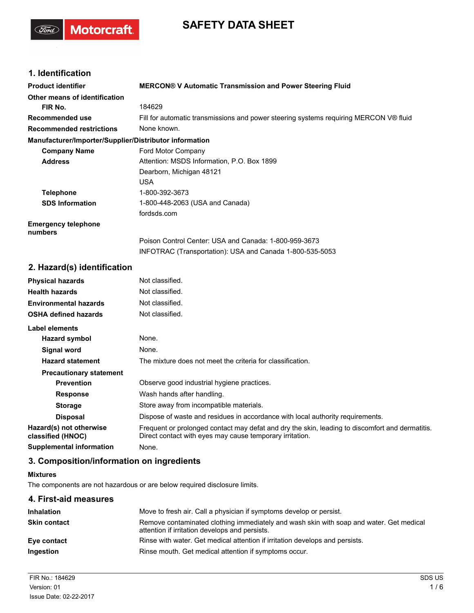# **SAFETY DATA SHEET**

## **1. Identification**

(Ford)

Motorcraft.

| <b>Product identifier</b>                              | <b>MERCON® V Automatic Transmission and Power Steering Fluid</b>                      |  |
|--------------------------------------------------------|---------------------------------------------------------------------------------------|--|
| Other means of identification                          |                                                                                       |  |
| FIR No.                                                | 184629                                                                                |  |
| Recommended use                                        | Fill for automatic transmissions and power steering systems requiring MERCON V® fluid |  |
| <b>Recommended restrictions</b>                        | None known.                                                                           |  |
| Manufacturer/Importer/Supplier/Distributor information |                                                                                       |  |
| <b>Company Name</b>                                    | Ford Motor Company                                                                    |  |
| <b>Address</b>                                         | Attention: MSDS Information, P.O. Box 1899                                            |  |
|                                                        | Dearborn, Michigan 48121                                                              |  |
|                                                        | <b>USA</b>                                                                            |  |
| <b>Telephone</b>                                       | 1-800-392-3673                                                                        |  |
| <b>SDS Information</b>                                 | 1-800-448-2063 (USA and Canada)                                                       |  |
|                                                        | fordsds.com                                                                           |  |
| <b>Emergency telephone</b><br>numbers                  |                                                                                       |  |
|                                                        | Poison Control Center: USA and Canada: 1-800-959-3673                                 |  |
|                                                        | INFOTRAC (Transportation): USA and Canada 1-800-535-5053                              |  |
| 2. Hazard(s) identification                            |                                                                                       |  |
| <b>Physical hazards</b>                                | Not classified.                                                                       |  |

| <b>Physical hazards</b>                      | Not classified.                                                                                                                                             |
|----------------------------------------------|-------------------------------------------------------------------------------------------------------------------------------------------------------------|
| <b>Health hazards</b>                        | Not classified.                                                                                                                                             |
| <b>Environmental hazards</b>                 | Not classified.                                                                                                                                             |
| <b>OSHA defined hazards</b>                  | Not classified.                                                                                                                                             |
| Label elements                               |                                                                                                                                                             |
| Hazard symbol                                | None.                                                                                                                                                       |
| Signal word                                  | None.                                                                                                                                                       |
| <b>Hazard statement</b>                      | The mixture does not meet the criteria for classification.                                                                                                  |
| <b>Precautionary statement</b>               |                                                                                                                                                             |
| <b>Prevention</b>                            | Observe good industrial hygiene practices.                                                                                                                  |
| <b>Response</b>                              | Wash hands after handling.                                                                                                                                  |
| <b>Storage</b>                               | Store away from incompatible materials.                                                                                                                     |
| <b>Disposal</b>                              | Dispose of waste and residues in accordance with local authority requirements.                                                                              |
| Hazard(s) not otherwise<br>classified (HNOC) | Frequent or prolonged contact may defat and dry the skin, leading to discomfort and dermatitis.<br>Direct contact with eyes may cause temporary irritation. |
| Supplemental information                     | None.                                                                                                                                                       |

# **3. Composition/information on ingredients**

### **Mixtures**

The components are not hazardous or are below required disclosure limits.

| 4. First-aid measures |                                                                                                                                           |
|-----------------------|-------------------------------------------------------------------------------------------------------------------------------------------|
| <b>Inhalation</b>     | Move to fresh air. Call a physician if symptoms develop or persist.                                                                       |
| <b>Skin contact</b>   | Remove contaminated clothing immediately and wash skin with soap and water. Get medical<br>attention if irritation develops and persists. |
| Eye contact           | Rinse with water. Get medical attention if irritation develops and persists.                                                              |
| Ingestion             | Rinse mouth. Get medical attention if symptoms occur.                                                                                     |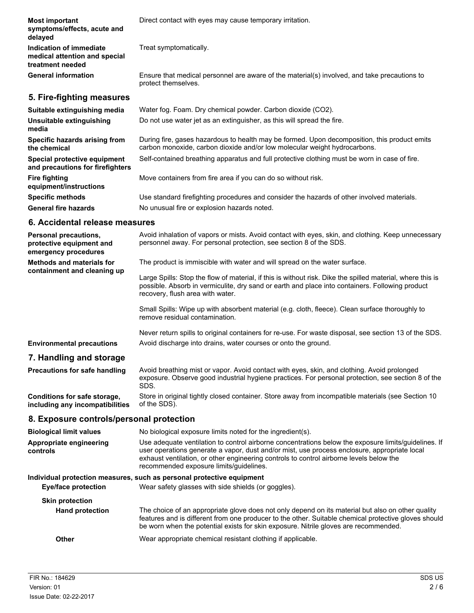| <b>Most important</b><br>symptoms/effects, acute and<br>delayed              | Direct contact with eyes may cause temporary irritation.                                                                                                                                                                                          |
|------------------------------------------------------------------------------|---------------------------------------------------------------------------------------------------------------------------------------------------------------------------------------------------------------------------------------------------|
| Indication of immediate<br>medical attention and special<br>treatment needed | Treat symptomatically.                                                                                                                                                                                                                            |
| <b>General information</b>                                                   | Ensure that medical personnel are aware of the material(s) involved, and take precautions to<br>protect themselves.                                                                                                                               |
| 5. Fire-fighting measures                                                    |                                                                                                                                                                                                                                                   |
| Suitable extinguishing media                                                 | Water fog. Foam. Dry chemical powder. Carbon dioxide (CO2).                                                                                                                                                                                       |
| Unsuitable extinguishing<br>media                                            | Do not use water jet as an extinguisher, as this will spread the fire.                                                                                                                                                                            |
| Specific hazards arising from<br>the chemical                                | During fire, gases hazardous to health may be formed. Upon decomposition, this product emits<br>carbon monoxide, carbon dioxide and/or low molecular weight hydrocarbons.                                                                         |
| Special protective equipment<br>and precautions for firefighters             | Self-contained breathing apparatus and full protective clothing must be worn in case of fire.                                                                                                                                                     |
| <b>Fire fighting</b><br>equipment/instructions                               | Move containers from fire area if you can do so without risk.                                                                                                                                                                                     |
| <b>Specific methods</b>                                                      | Use standard firefighting procedures and consider the hazards of other involved materials.                                                                                                                                                        |
| <b>General fire hazards</b>                                                  | No unusual fire or explosion hazards noted.                                                                                                                                                                                                       |
| 6. Accidental release measures                                               |                                                                                                                                                                                                                                                   |
| Personal precautions,<br>protective equipment and<br>emergency procedures    | Avoid inhalation of vapors or mists. Avoid contact with eyes, skin, and clothing. Keep unnecessary<br>personnel away. For personal protection, see section 8 of the SDS.                                                                          |
| <b>Methods and materials for</b>                                             | The product is immiscible with water and will spread on the water surface.                                                                                                                                                                        |
| containment and cleaning up                                                  | Large Spills: Stop the flow of material, if this is without risk. Dike the spilled material, where this is<br>possible. Absorb in vermiculite, dry sand or earth and place into containers. Following product<br>recovery, flush area with water. |

Small Spills: Wipe up with absorbent material (e.g. cloth, fleece). Clean surface thoroughly to remove residual contamination.

Never return spills to original containers for re-use. For waste disposal, see section 13 of the SDS. **Environmental precautions** Avoid discharge into drains, water courses or onto the ground.

## **7. Handling and storage**

| <b>Precautions for safe handling</b> | Avoid breathing mist or vapor. Avoid contact with eyes, skin, and clothing. Avoid prolonged<br>exposure. Observe good industrial hygiene practices. For personal protection, see section 8 of the<br>SDS. |
|--------------------------------------|-----------------------------------------------------------------------------------------------------------------------------------------------------------------------------------------------------------|
| Conditions for safe storage,         | Store in original tightly closed container. Store away from incompatible materials (see Section 10                                                                                                        |
| including any incompatibilities      | of the SDS).                                                                                                                                                                                              |

## **8. Exposure controls/personal protection**

| <b>Biological limit values</b>      | No biological exposure limits noted for the ingredient(s).                                                                                                                                                                                                                                                                                 |  |
|-------------------------------------|--------------------------------------------------------------------------------------------------------------------------------------------------------------------------------------------------------------------------------------------------------------------------------------------------------------------------------------------|--|
| Appropriate engineering<br>controls | Use adequate ventilation to control airborne concentrations below the exposure limits/quidelines. If<br>user operations generate a vapor, dust and/or mist, use process enclosure, appropriate local<br>exhaust ventilation, or other engineering controls to control airborne levels below the<br>recommended exposure limits/guidelines. |  |
|                                     | Individual protection measures, such as personal protective equipment                                                                                                                                                                                                                                                                      |  |
| Eye/face protection                 | Wear safety glasses with side shields (or goggles).                                                                                                                                                                                                                                                                                        |  |
| <b>Skin protection</b>              |                                                                                                                                                                                                                                                                                                                                            |  |
| <b>Hand protection</b>              | The choice of an appropriate glove does not only depend on its material but also on other quality<br>features and is different from one producer to the other. Suitable chemical protective gloves should<br>be worn when the potential exists for skin exposure. Nitrile gloves are recommended.                                          |  |
| Other                               | Wear appropriate chemical resistant clothing if applicable.                                                                                                                                                                                                                                                                                |  |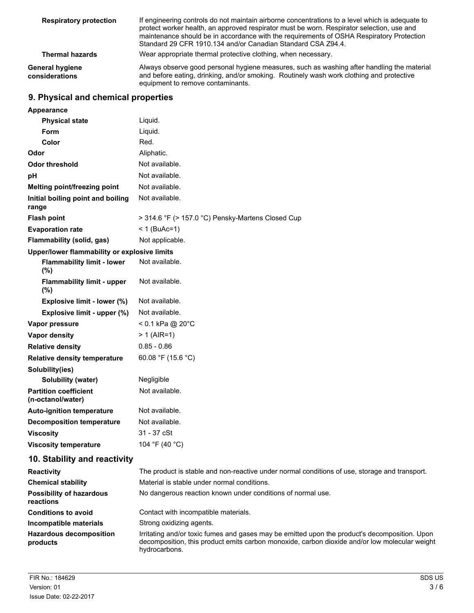| <b>Respiratory protection</b>     | If engineering controls do not maintain airborne concentrations to a level which is adequate to<br>protect worker health, an approved respirator must be worn. Respirator selection, use and<br>maintenance should be in accordance with the requirements of OSHA Respiratory Protection<br>Standard 29 CFR 1910.134 and/or Canadian Standard CSA Z94.4. |  |
|-----------------------------------|----------------------------------------------------------------------------------------------------------------------------------------------------------------------------------------------------------------------------------------------------------------------------------------------------------------------------------------------------------|--|
| <b>Thermal hazards</b>            | Wear appropriate thermal protective clothing, when necessary.                                                                                                                                                                                                                                                                                            |  |
| General hygiene<br>considerations | Always observe good personal hygiene measures, such as washing after handling the material<br>and before eating, drinking, and/or smoking. Routinely wash work clothing and protective<br>equipment to remove contaminants.                                                                                                                              |  |

# **9. Physical and chemical properties**

| <b>Appearance</b>                                 |                                                   |
|---------------------------------------------------|---------------------------------------------------|
| <b>Physical state</b>                             | Liquid.                                           |
| Form                                              | Liquid.                                           |
| Color                                             | Red.                                              |
| Odor                                              | Aliphatic.                                        |
| <b>Odor threshold</b>                             | Not available.                                    |
| рH                                                | Not available.                                    |
| Melting point/freezing point                      | Not available.                                    |
| Initial boiling point and boiling<br>range        | Not available.                                    |
| <b>Flash point</b>                                | > 314.6 °F (> 157.0 °C) Pensky-Martens Closed Cup |
| <b>Evaporation rate</b>                           | $< 1$ (BuAc=1)                                    |
| Flammability (solid, gas)                         | Not applicable.                                   |
| Upper/lower flammability or explosive limits      |                                                   |
| <b>Flammability limit - lower</b><br>(%)          | Not available.                                    |
| <b>Flammability limit - upper</b><br>(%)          | Not available.                                    |
| Explosive limit - lower (%)                       | Not available.                                    |
| Explosive limit - upper (%)                       | Not available.                                    |
| Vapor pressure                                    | < 0.1 kPa @ 20°C                                  |
| <b>Vapor density</b>                              | $> 1$ (AIR=1)                                     |
| <b>Relative density</b>                           | $0.85 - 0.86$                                     |
| <b>Relative density temperature</b>               | 60.08 °F (15.6 °C)                                |
| Solubility(ies)                                   |                                                   |
| Solubility (water)                                | Negligible                                        |
| <b>Partition coefficient</b><br>(n-octanol/water) | Not available.                                    |
| <b>Auto-ignition temperature</b>                  | Not available.                                    |
| <b>Decomposition temperature</b>                  | Not available.                                    |
| <b>Viscosity</b>                                  | 31 - 37 cSt                                       |
| <b>Viscosity temperature</b>                      | 104 °F (40 °C)                                    |
| 10. Stability and reactivity                      |                                                   |

| <b>Reactivity</b>                            | The product is stable and non-reactive under normal conditions of use, storage and transport.                                                                                                                   |
|----------------------------------------------|-----------------------------------------------------------------------------------------------------------------------------------------------------------------------------------------------------------------|
| <b>Chemical stability</b>                    | Material is stable under normal conditions.                                                                                                                                                                     |
| <b>Possibility of hazardous</b><br>reactions | No dangerous reaction known under conditions of normal use.                                                                                                                                                     |
| <b>Conditions to avoid</b>                   | Contact with incompatible materials.                                                                                                                                                                            |
| Incompatible materials                       | Strong oxidizing agents.                                                                                                                                                                                        |
| <b>Hazardous decomposition</b><br>products   | Irritating and/or toxic fumes and gases may be emitted upon the product's decomposition. Upon<br>decomposition, this product emits carbon monoxide, carbon dioxide and/or low molecular weight<br>hydrocarbons. |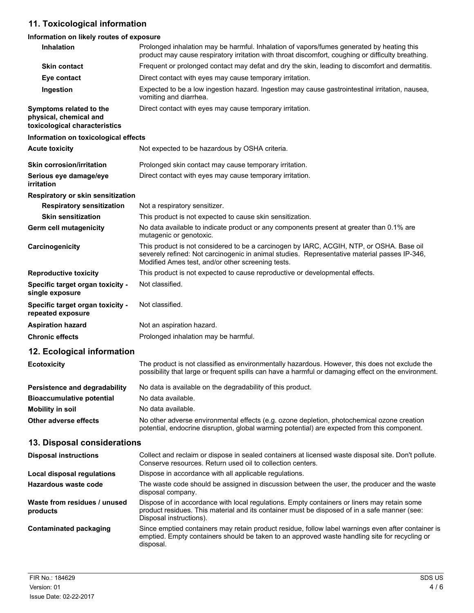# **11. Toxicological information**

## **Information on likely routes of exposure**

| Inhalation                                                                         | Prolonged inhalation may be harmful. Inhalation of vapors/fumes generated by heating this<br>product may cause respiratory irritation with throat discomfort, coughing or difficulty breathing.                                               |
|------------------------------------------------------------------------------------|-----------------------------------------------------------------------------------------------------------------------------------------------------------------------------------------------------------------------------------------------|
| <b>Skin contact</b>                                                                | Frequent or prolonged contact may defat and dry the skin, leading to discomfort and dermatitis.                                                                                                                                               |
| Eye contact                                                                        | Direct contact with eyes may cause temporary irritation.                                                                                                                                                                                      |
| Ingestion                                                                          | Expected to be a low ingestion hazard. Ingestion may cause gastrointestinal irritation, nausea,<br>vomiting and diarrhea.                                                                                                                     |
| Symptoms related to the<br>physical, chemical and<br>toxicological characteristics | Direct contact with eyes may cause temporary irritation.                                                                                                                                                                                      |
| Information on toxicological effects                                               |                                                                                                                                                                                                                                               |
| <b>Acute toxicity</b>                                                              | Not expected to be hazardous by OSHA criteria.                                                                                                                                                                                                |
| <b>Skin corrosion/irritation</b>                                                   | Prolonged skin contact may cause temporary irritation.                                                                                                                                                                                        |
| Serious eye damage/eye<br>irritation                                               | Direct contact with eyes may cause temporary irritation.                                                                                                                                                                                      |
| <b>Respiratory or skin sensitization</b>                                           |                                                                                                                                                                                                                                               |
| <b>Respiratory sensitization</b>                                                   | Not a respiratory sensitizer.                                                                                                                                                                                                                 |
| <b>Skin sensitization</b>                                                          | This product is not expected to cause skin sensitization.                                                                                                                                                                                     |
| Germ cell mutagenicity                                                             | No data available to indicate product or any components present at greater than 0.1% are<br>mutagenic or genotoxic.                                                                                                                           |
| Carcinogenicity                                                                    | This product is not considered to be a carcinogen by IARC, ACGIH, NTP, or OSHA. Base oil<br>severely refined: Not carcinogenic in animal studies. Representative material passes IP-346,<br>Modified Ames test, and/or other screening tests. |
| <b>Reproductive toxicity</b>                                                       | This product is not expected to cause reproductive or developmental effects.                                                                                                                                                                  |
| Specific target organ toxicity -<br>single exposure                                | Not classified.                                                                                                                                                                                                                               |
| Specific target organ toxicity -<br>repeated exposure                              | Not classified.                                                                                                                                                                                                                               |
| <b>Aspiration hazard</b>                                                           | Not an aspiration hazard.                                                                                                                                                                                                                     |
| <b>Chronic effects</b>                                                             | Prolonged inhalation may be harmful.                                                                                                                                                                                                          |
| 12. Ecological information                                                         |                                                                                                                                                                                                                                               |
| <b>Ecotoxicity</b>                                                                 | The product is not classified as environmentally hazardous. However, this does not exclude the<br>possibility that large or frequent spills can have a harmful or damaging effect on the environment.                                         |
| <b>Persistence and degradability</b>                                               | No data is available on the degradability of this product.                                                                                                                                                                                    |
| <b>Bioaccumulative potential</b>                                                   | No data available.                                                                                                                                                                                                                            |
| <b>Mobility in soil</b>                                                            | No data available.                                                                                                                                                                                                                            |
| Other adverse effects                                                              | No other adverse environmental effects (e.g. ozone depletion, photochemical ozone creation<br>potential, endocrine disruption, global warming potential) are expected from this component.                                                    |
| 13. Disposal considerations                                                        |                                                                                                                                                                                                                                               |
| <b>Disposal instructions</b>                                                       | Collect and reclaim or dispose in sealed containers at licensed waste disposal site. Don't pollute.<br>Conserve resources. Return used oil to collection centers.                                                                             |
| <b>Local disposal regulations</b>                                                  | Dispose in accordance with all applicable regulations.                                                                                                                                                                                        |
| Hazardous waste code                                                               | The waste code should be assigned in discussion between the user, the producer and the waste<br>disposal company.                                                                                                                             |
| Waste from residues / unused<br>products                                           | Dispose of in accordance with local regulations. Empty containers or liners may retain some<br>product residues. This material and its container must be disposed of in a safe manner (see:<br>Disposal instructions).                        |
| <b>Contaminated packaging</b>                                                      | Since emptied containers may retain product residue, follow label warnings even after container is<br>emptied. Empty containers should be taken to an approved waste handling site for recycling or<br>disposal.                              |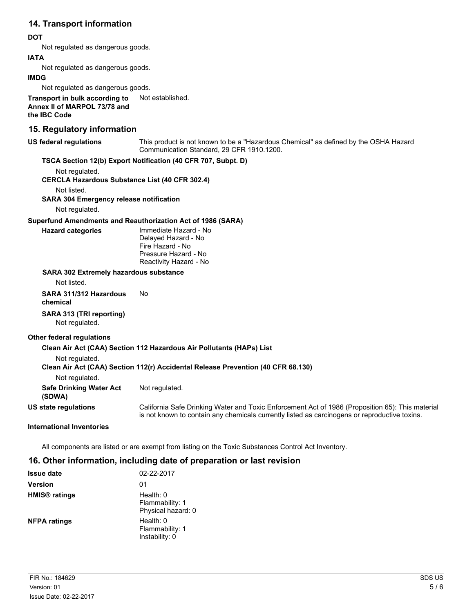## **14. Transport information**

## **DOT**

Not regulated as dangerous goods.

### **IATA**

Not regulated as dangerous goods.

#### **IMDG**

Not regulated as dangerous goods.

**Transport in bulk according to** Not established. **Annex II of MARPOL 73/78 and the IBC Code**

## **15. Regulatory information**

#### **US federal regulations**

This product is not known to be a "Hazardous Chemical" as defined by the OSHA Hazard Communication Standard, 29 CFR 1910.1200.

### **TSCA Section 12(b) Export Notification (40 CFR 707, Subpt. D)**

Not regulated.

**CERCLA Hazardous Substance List (40 CFR 302.4)**

Not listed.

**SARA 304 Emergency release notification**

Not regulated.

### **Superfund Amendments and Reauthorization Act of 1986 (SARA)**

| Hazard categories |
|-------------------|

Immediate Hazard - No Delayed Hazard - No Fire Hazard - No Pressure Hazard - No Reactivity Hazard - No

#### **SARA 302 Extremely hazardous substance**

Not listed.

**SARA 311/312 Hazardous** No **chemical**

## **SARA 313 (TRI reporting)**

Not regulated.

### **Other federal regulations**

# **Clean Air Act (CAA) Section 112 Hazardous Air Pollutants (HAPs) List**

Not regulated.

## **Clean Air Act (CAA) Section 112(r) Accidental Release Prevention (40 CFR 68.130)**

Not regulated.

| <b>Safe Drinking Water Act</b> |  |  | Not regulated. |
|--------------------------------|--|--|----------------|
|--------------------------------|--|--|----------------|

**(SDWA)**

**US state regulations**

California Safe Drinking Water and Toxic Enforcement Act of 1986 (Proposition 65): This material is not known to contain any chemicals currently listed as carcinogens or reproductive toxins.

### **International Inventories**

All components are listed or are exempt from listing on the Toxic Substances Control Act Inventory.

## **16. Other information, including date of preparation or last revision**

| <b>Issue date</b>               | 02-22-2017                                           |
|---------------------------------|------------------------------------------------------|
| <b>Version</b>                  | 01                                                   |
| <b>HMIS<sup>®</sup></b> ratings | Health: $0$<br>Flammability: 1<br>Physical hazard: 0 |
| <b>NFPA ratings</b>             | Health: 0<br>Flammability: 1<br>Instability: 0       |